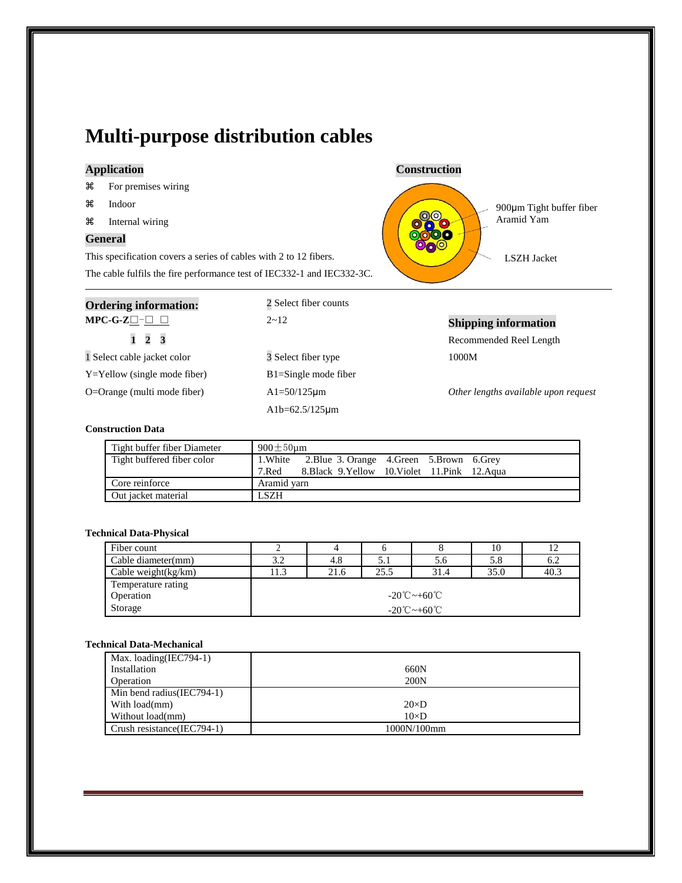## **Multi-purpose distribution cables**

| æ | For premises wiring |  |
|---|---------------------|--|
|   |                     |  |

- Indoor
- Internal wiring

### **General**

This specification covers a series of cables with 2 to 12 fibers. The cable fulfils the fire performance test of IEC332-1 and IEC332-3C.



| <b>Ordering information:</b>       | 2 Select fiber counts    |                                      |
|------------------------------------|--------------------------|--------------------------------------|
| $MPC-G-Z\square-\square$ $\square$ | $2 - 12$                 | <b>Shipping information</b>          |
| $1\quad 2$<br>$\overline{3}$       |                          | Recommended Reel Length              |
| 1 Select cable jacket color        | 3 Select fiber type      | 1000M                                |
| $Y = Y$ ellow (single mode fiber)  | $B1 =$ Single mode fiber |                                      |
| O=Orange (multi mode fiber)        | $Al = 50/125 \mu m$      | Other lengths available upon request |
|                                    | $Alb=62.5/125 \mu m$     |                                      |

#### **Construction Data**

| Tight buffer fiber Diameter | $900 \pm 50$ um |                                                      |  |  |
|-----------------------------|-----------------|------------------------------------------------------|--|--|
| Tight buffered fiber color  |                 | 1. White 2. Blue 3. Orange 4. Green 5. Brown 6. Grey |  |  |
|                             | 7.Red           | 8. Black 9. Yellow 10. Violet 11. Pink 12. Agua      |  |  |
| Core reinforce              | Aramid yarn     |                                                      |  |  |
| Out jacket material         | <b>LSZH</b>     |                                                      |  |  |

#### **Technical Data-Physical**

| Fiber count            |                          |      |      |      | 10   |      |
|------------------------|--------------------------|------|------|------|------|------|
| Cable diameter(mm)     |                          | 4.8  | 5.1  | 5.6  | 5.8  | 6.2  |
| Cable weight $(kg/km)$ | 1.3                      | 21.6 | 25.5 | 31.4 | 35.0 | 40.3 |
| Temperature rating     |                          |      |      |      |      |      |
| Operation              | $-20^{\circ}$ C ~ +60 °C |      |      |      |      |      |
| Storage                | $-20^{\circ}$ C ~ +60 °C |      |      |      |      |      |

#### **Technical Data-Mechanical**

| Max. loading(IEC794-1)     |              |
|----------------------------|--------------|
| Installation               | 660N         |
| Operation                  | 200N         |
| Min bend radius(IEC794-1)  |              |
| With load(mm)              | $20\times D$ |
| Without load(mm)           | $10\times D$ |
| Crush resistance(IEC794-1) | 1000N/100mm  |